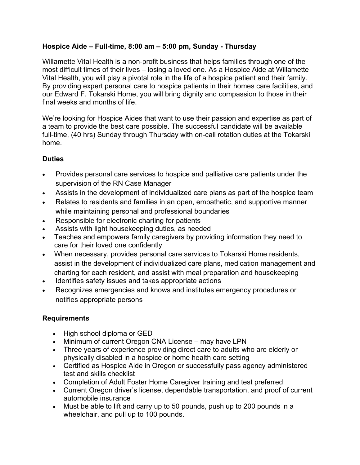### **Hospice Aide – Full-time, 8:00 am – 5:00 pm, Sunday - Thursday**

Willamette Vital Health is a non-profit business that helps families through one of the most difficult times of their lives – losing a loved one. As a Hospice Aide at Willamette Vital Health, you will play a pivotal role in the life of a hospice patient and their family. By providing expert personal care to hospice patients in their homes care facilities, and our Edward F. Tokarski Home, you will bring dignity and compassion to those in their final weeks and months of life.

We're looking for Hospice Aides that want to use their passion and expertise as part of a team to provide the best care possible. The successful candidate will be available full-time, (40 hrs) Sunday through Thursday with on-call rotation duties at the Tokarski home.

## **Duties**

- Provides personal care services to hospice and palliative care patients under the supervision of the RN Case Manager
- Assists in the development of individualized care plans as part of the hospice team
- Relates to residents and families in an open, empathetic, and supportive manner while maintaining personal and professional boundaries
- Responsible for electronic charting for patients
- Assists with light housekeeping duties, as needed
- Teaches and empowers family caregivers by providing information they need to care for their loved one confidently
- When necessary, provides personal care services to Tokarski Home residents, assist in the development of individualized care plans, medication management and charting for each resident, and assist with meal preparation and housekeeping
- Identifies safety issues and takes appropriate actions
- Recognizes emergencies and knows and institutes emergency procedures or notifies appropriate persons

# **Requirements**

- High school diploma or GED
- Minimum of current Oregon CNA License may have LPN
- Three years of experience providing direct care to adults who are elderly or physically disabled in a hospice or home health care setting
- Certified as Hospice Aide in Oregon or successfully pass agency administered test and skills checklist
- Completion of Adult Foster Home Caregiver training and test preferred
- Current Oregon driver's license, dependable transportation, and proof of current automobile insurance
- Must be able to lift and carry up to 50 pounds, push up to 200 pounds in a wheelchair, and pull up to 100 pounds.